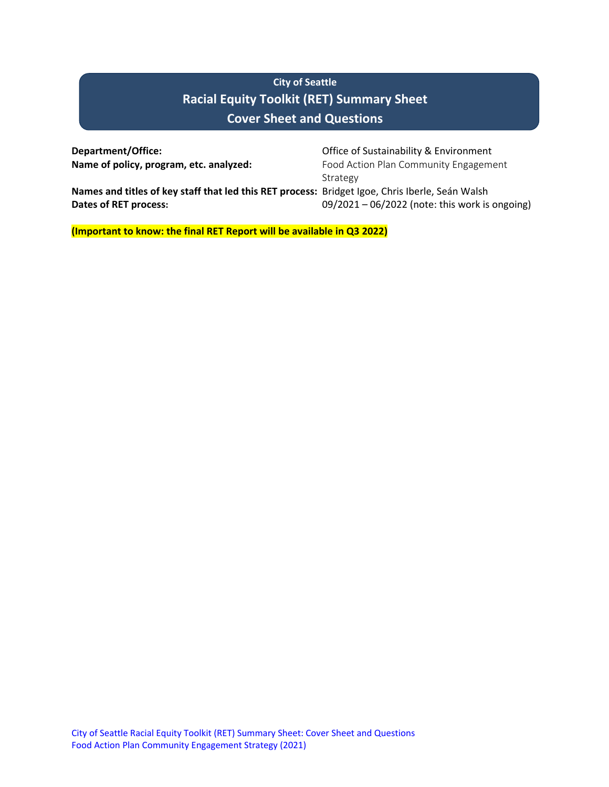# **City of Seattle Racial Equity Toolkit (RET) Summary Sheet Cover Sheet and Questions**

| Department/Office:                                                                              | Office of Sustainability & Environment         |
|-------------------------------------------------------------------------------------------------|------------------------------------------------|
| Name of policy, program, etc. analyzed:                                                         | Food Action Plan Community Engagement          |
|                                                                                                 | Strategy                                       |
| Names and titles of key staff that led this RET process: Bridget Igoe, Chris Iberle, Seán Walsh |                                                |
| Dates of RET process:                                                                           | 09/2021 - 06/2022 (note: this work is ongoing) |

**(Important to know: the final RET Report will be available in Q3 2022)**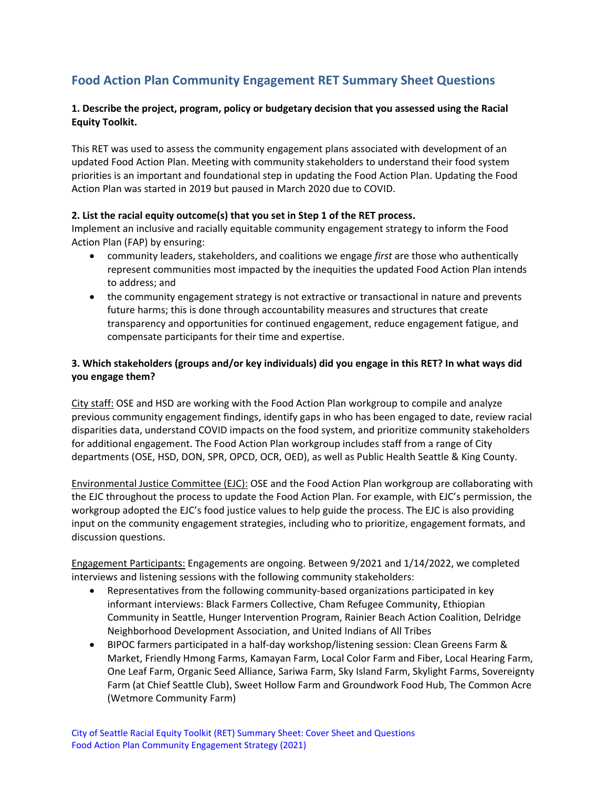## **Food Action Plan Community Engagement RET Summary Sheet Questions**

## **1. Describe the project, program, policy or budgetary decision that you assessed using the Racial Equity Toolkit.**

This RET was used to assess the community engagement plans associated with development of an updated Food Action Plan. Meeting with community stakeholders to understand their food system priorities is an important and foundational step in updating the Food Action Plan. Updating the Food Action Plan was started in 2019 but paused in March 2020 due to COVID.

### **2. List the racial equity outcome(s) that you set in Step 1 of the RET process.**

Implement an inclusive and racially equitable community engagement strategy to inform the Food Action Plan (FAP) by ensuring:

- community leaders, stakeholders, and coalitions we engage *first* are those who authentically represent communities most impacted by the inequities the updated Food Action Plan intends to address; and
- the community engagement strategy is not extractive or transactional in nature and prevents future harms; this is done through accountability measures and structures that create transparency and opportunities for continued engagement, reduce engagement fatigue, and compensate participants for their time and expertise.

## **3. Which stakeholders (groups and/or key individuals) did you engage in this RET? In what ways did you engage them?**

City staff: OSE and HSD are working with the Food Action Plan workgroup to compile and analyze previous community engagement findings, identify gaps in who has been engaged to date, review racial disparities data, understand COVID impacts on the food system, and prioritize community stakeholders for additional engagement. The Food Action Plan workgroup includes staff from a range of City departments (OSE, HSD, DON, SPR, OPCD, OCR, OED), as well as Public Health Seattle & King County.

Environmental Justice Committee (EJC): OSE and the Food Action Plan workgroup are collaborating with the EJC throughout the process to update the Food Action Plan. For example, with EJC's permission, the workgroup adopted the EJC's food justice values to help guide the process. The EJC is also providing input on the community engagement strategies, including who to prioritize, engagement formats, and discussion questions.

Engagement Participants: Engagements are ongoing. Between 9/2021 and 1/14/2022, we completed interviews and listening sessions with the following community stakeholders:

- Representatives from the following community-based organizations participated in key informant interviews: Black Farmers Collective, Cham Refugee Community, Ethiopian Community in Seattle, Hunger Intervention Program, Rainier Beach Action Coalition, Delridge Neighborhood Development Association, and United Indians of All Tribes
- BIPOC farmers participated in a half-day workshop/listening session: Clean Greens Farm & Market, Friendly Hmong Farms, Kamayan Farm, Local Color Farm and Fiber, Local Hearing Farm, One Leaf Farm, Organic Seed Alliance, Sariwa Farm, Sky Island Farm, Skylight Farms, Sovereignty Farm (at Chief Seattle Club), Sweet Hollow Farm and Groundwork Food Hub, The Common Acre (Wetmore Community Farm)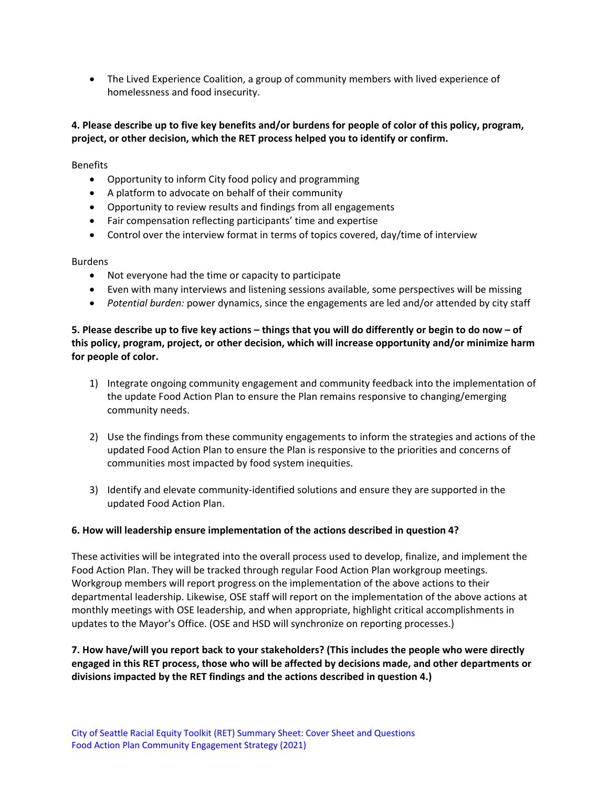• The Lived Experience Coalition, a group of community members with lived experience of homelessness and food insecurity.

#### **4. Please describe up to five key benefits and/or burdens for people of color of this policy, program, project, or other decision, which the RET process helped you to identify or confirm.**

Benefits

- Opportunity to inform City food policy and programming
- A platform to advocate on behalf of their community
- Opportunity to review results and findings from all engagements
- Fair compensation reflecting participants' time and expertise
- Control over the interview format in terms of topics covered, day/time of interview

#### Burdens

- Not everyone had the time or capacity to participate
- Even with many interviews and listening sessions available, some perspectives will be missing
- *Potential burden:* power dynamics, since the engagements are led and/or attended by city staff

## **5. Please describe up to five key actions – things that you will do differently or begin to do now – of this policy, program, project, or other decision, which will increase opportunity and/or minimize harm for people of color.**

- 1) Integrate ongoing community engagement and community feedback into the implementation of the update Food Action Plan to ensure the Plan remains responsive to changing/emerging community needs.
- 2) Use the findings from these community engagements to inform the strategies and actions of the updated Food Action Plan to ensure the Plan is responsive to the priorities and concerns of communities most impacted by food system inequities.
- 3) Identify and elevate community-identified solutions and ensure they are supported in the updated Food Action Plan.

#### **6. How will leadership ensure implementation of the actions described in question 4?**

These activities will be integrated into the overall process used to develop, finalize, and implement the Food Action Plan. They will be tracked through regular Food Action Plan workgroup meetings. Workgroup members will report progress on the implementation of the above actions to their departmental leadership. Likewise, OSE staff will report on the implementation of the above actions at monthly meetings with OSE leadership, and when appropriate, highlight critical accomplishments in updates to the Mayor's Office. (OSE and HSD will synchronize on reporting processes.)

**7. How have/will you report back to your stakeholders? (This includes the people who were directly engaged in this RET process, those who will be affected by decisions made, and other departments or divisions impacted by the RET findings and the actions described in question 4.)**